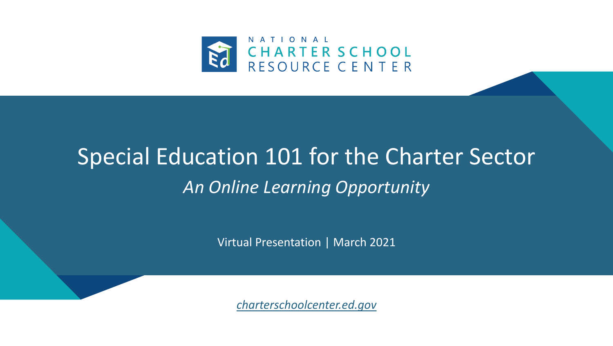

## Special Education 101 for the Charter Sector *An Online Learning Opportunity*

Virtual Presentation | March 2021

*[charterschoolcenter.ed.gov](https://charterschoolcenter.ed.gov/)*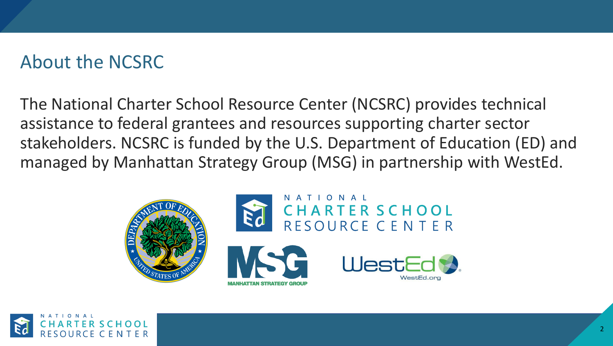## About the NCSRC

The National Charter School Resource Center (NCSRC) provides technical assistance to federal grantees and resources supporting charter sector stakeholders. NCSRC is funded by the U.S. Department of Education (ED) and managed by Manhattan Strategy Group (MSG) in partnership with WestEd.



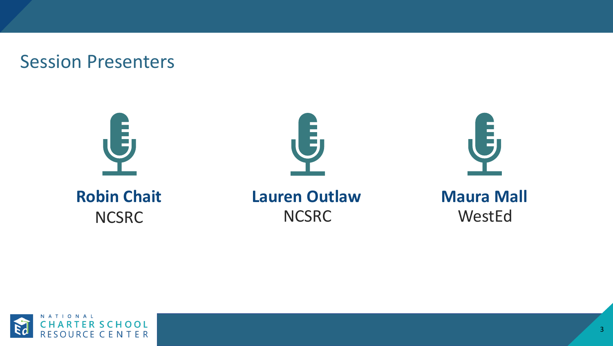#### Session Presenters





**Lauren Outlaw NCSRC** 

**Maura Mall** WestEd

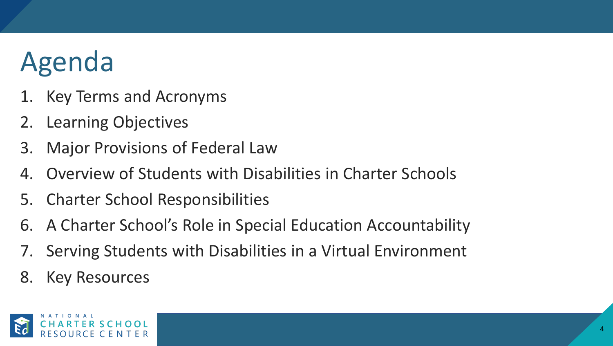# Agenda

- Key Terms and Acronyms
- 2. Learning Objectives
- 3. Major Provisions of Federal Law
- 4. Overview of Students with Disabilities in Charter Schools
- 5. Charter School Responsibilities
- 6. A Charter School's Role in Special Education Accountability
- 7. Serving Students with Disabilities in a Virtual Environment
- 8. Key Resources

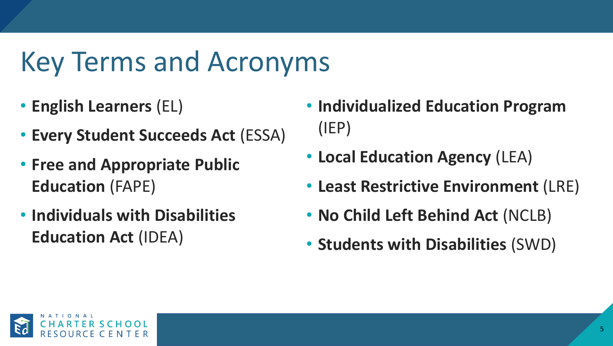# Key Terms and Acronyms

- **English Learners** (EL)
- **Every Student Succeeds Act** (ESSA)
- **Free and Appropriate Public Education** (FAPE)
- **Individuals with Disabilities Education Act** (IDEA)
- **Individualized Education Program**  (IEP)
- **Local Education Agency** (LEA)
- **Least Restrictive Environment** (LRE)
- **No Child Left Behind Act** (NCLB)
- **Students with Disabilities** (SWD)

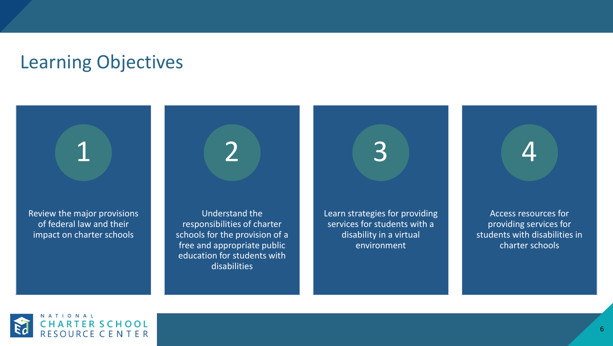#### Learning Objectives

Review the major provisions of federal law and their impact on charter schools

1

Understand the responsibilities of charter schools for the provision of a free and appropriate public education for students with disabilities

2

3

Learn strategies for providing services for students with a disability in a virtual environment

Access resources for providing services for students with disabilities in charter schools

4

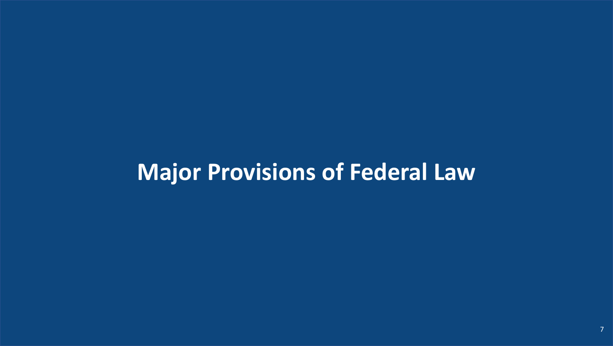## **Major Provisions of Federal Law**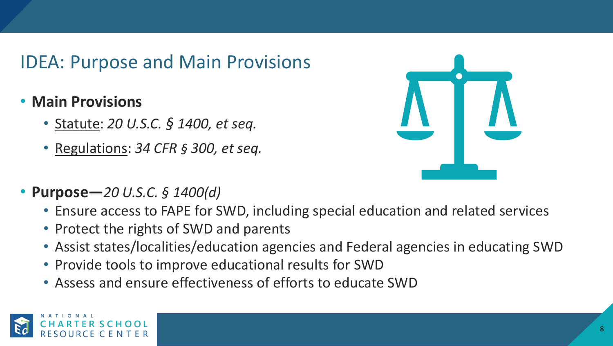## IDEA: Purpose and Main Provisions

- **Main Provisions**
	- Statute: *20 U.S.C. § 1400, et seq.*
	- Regulations: *34 CFR § 300, et seq.*



- **Purpose—***20 U.S.C. § 1400(d)*
	- Ensure access to FAPE for SWD, including special education and related services
	- Protect the rights of SWD and parents
	- Assist states/localities/education agencies and Federal agencies in educating SWD
	- Provide tools to improve educational results for SWD
	- Assess and ensure effectiveness of efforts to educate SWD

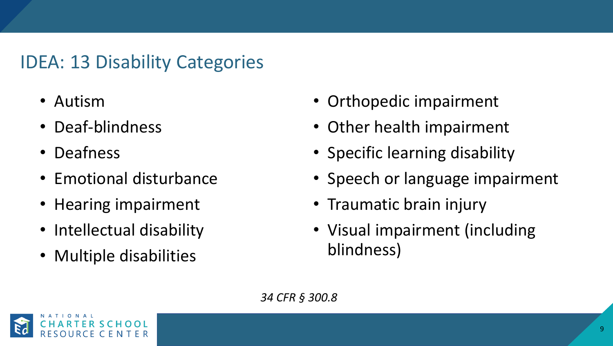## IDEA: 13 Disability Categories

- Autism
- Deaf-blindness
- Deafness
- Emotional disturbance
- Hearing impairment
- Intellectual disability
- Multiple disabilities
- Orthopedic impairment
- Other health impairment
- Specific learning disability
- Speech or language impairment
- Traumatic brain injury
- Visual impairment (including blindness)

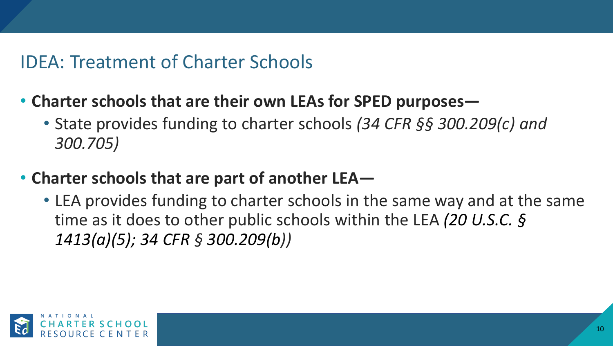## IDEA: Treatment of Charter Schools

- **Charter schools that are their own LEAs for SPED purposes—**
	- State provides funding to charter schools *(34 CFR §§ 300.209(c) and 300.705)*
- **Charter schools that are part of another LEA—**
	- LEA provides funding to charter schools in the same way and at the same time as it does to other public schools within the LEA *(20 U.S.C. § 1413(a)(5); 34 CFR § 300.209(b))*

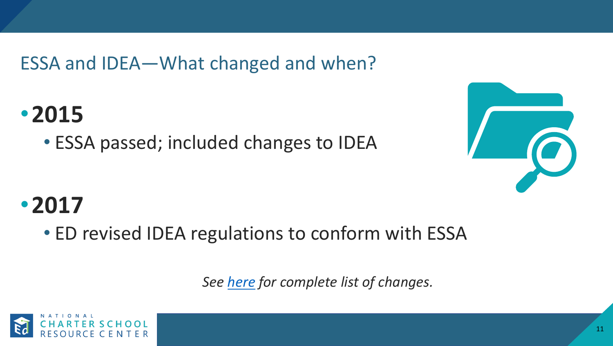ESSA and IDEA—What changed and when?

## •**2015**

• ESSA passed; included changes to IDEA



## •**2017**

• ED revised IDEA regulations to conform with ESSA

*See [here](mailto:mailto:http://www.ncld.org/wp-content/uploads/2017/06/summary-chart-idea-essa-regs-6-29-17.pdf) for complete list of changes.* 

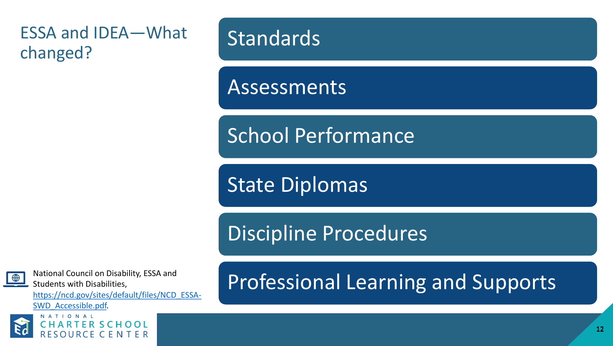#### ESSA and IDEA—What changed?

## **Standards**

Assessments

School Performance

State Diplomas

Discipline Procedures

National Council on Disability, ESSA and Students with Disabilities,

[https://ncd.gov/sites/default/files/NCD\\_ESSA-](https://ncd.gov/sites/default/files/NCD_ESSA-SWD_Accessible.pdf)

SWD\_Accessible.pdf.



## Professional Learning and Supports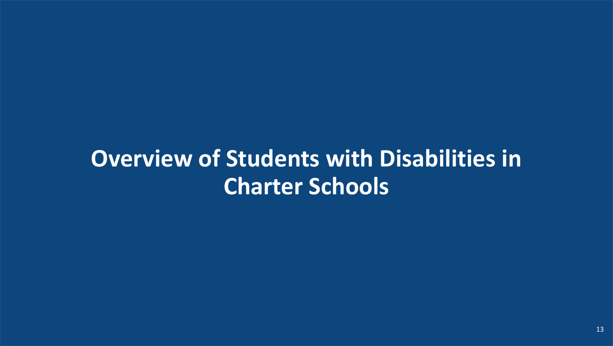## **Overview of Students with Disabilities in Charter Schools**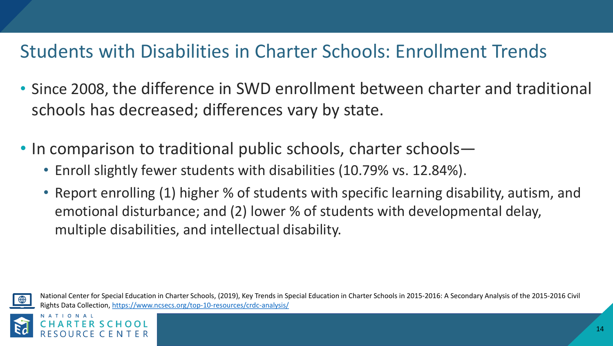## Students with Disabilities in Charter Schools: Enrollment Trends

- Since 2008, the difference in SWD enrollment between charter and traditional schools has decreased; differences vary by state.
- In comparison to traditional public schools, charter schools—
	- Enroll slightly fewer students with disabilities (10.79% vs. 12.84%).
	- Report enrolling (1) higher % of students with specific learning disability, autism, and emotional disturbance; and (2) lower % of students with developmental delay, multiple disabilities, and intellectual disability.



National Center for Special Education in Charter Schools, (2019), Key Trends in Special Education in Charter Schools in 2015-2016: A Secondary Analysis of the 2015-2016 Civil Rights Data Collection,<https://www.ncsecs.org/top-10-resources/crdc-analysis/>

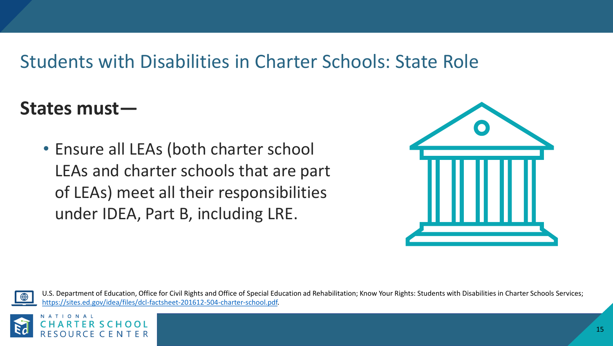### Students with Disabilities in Charter Schools: State Role

### **States must—**

• Ensure all LEAs (both charter school LEAs and charter schools that are part of LEAs) meet all their responsibilities under IDEA, Part B, including LRE.





U.S. Department of Education, Office for Civil Rights and Office of Special Education ad Rehabilitation; Know Your Rights: Students with Disabilities in Charter Schools Services; [https://sites.ed.gov/idea/files/dcl-factsheet-201612-504-charter-school.pdf.](https://sites.ed.gov/idea/files/dcl-factsheet-201612-504-charter-school.pdf)

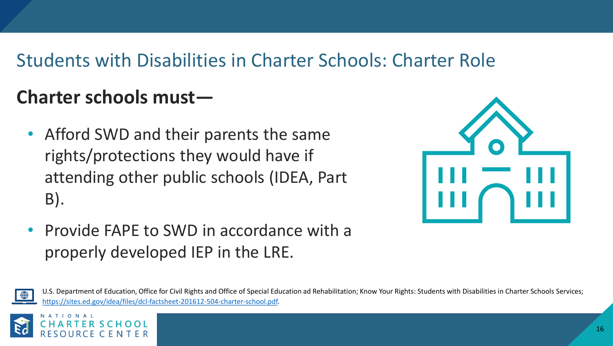## Students with Disabilities in Charter Schools: Charter Role

## **Charter schools must—**

• Afford SWD and their parents the same rights/protections they would have if attending other public schools (IDEA, Part B).



• Provide FAPE to SWD in accordance with a properly developed IEP in the LRE.



U.S. Department of Education, Office for Civil Rights and Office of Special Education ad Rehabilitation; Know Your Rights: Students with Disabilities in Charter Schools Services; [https://sites.ed.gov/idea/files/dcl-factsheet-201612-504-charter-school.pdf.](https://sites.ed.gov/idea/files/dcl-factsheet-201612-504-charter-school.pdf)

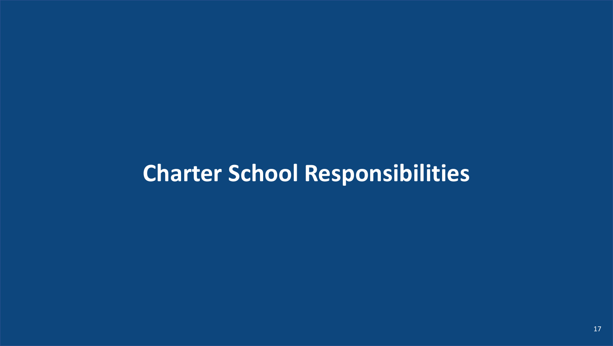## **Charter School Responsibilities**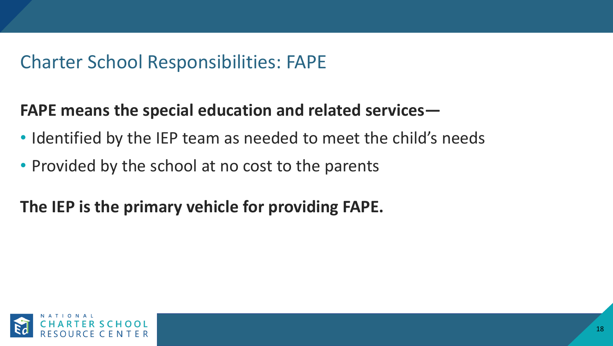## Charter School Responsibilities: FAPE

#### **FAPE means the special education and related services—**

- Identified by the IEP team as needed to meet the child's needs
- Provided by the school at no cost to the parents

## **The IEP is the primary vehicle for providing FAPE.**

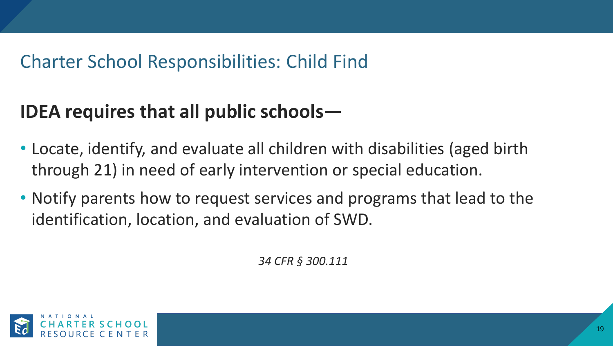## Charter School Responsibilities: Child Find

## **IDEA requires that all public schools—**

- Locate, identify, and evaluate all children with disabilities (aged birth through 21) in need of early intervention or special education.
- Notify parents how to request services and programs that lead to the identification, location, and evaluation of SWD.

*34 CFR § 300.111*

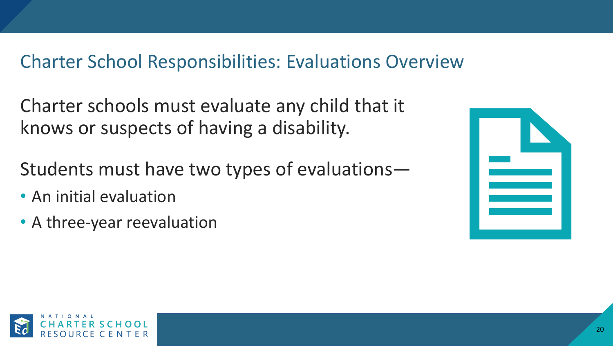### Charter School Responsibilities: Evaluations Overview

Charter schools must evaluate any child that it knows or suspects of having a disability.

- Students must have two types of evaluations—
- An initial evaluation
- A three-year reevaluation

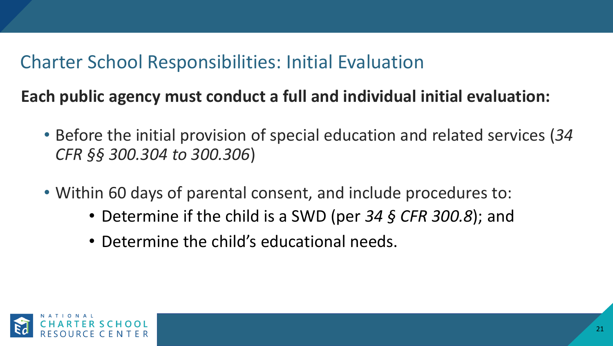## Charter School Responsibilities: Initial Evaluation

**Each public agency must conduct a full and individual initial evaluation:**

- Before the initial provision of special education and related services (*34 CFR §§ 300.304 to 300.306*)
- Within 60 days of parental consent, and include procedures to:
	- Determine if the child is a SWD (per *34 § CFR 300.8*); and
	- Determine the child's educational needs.

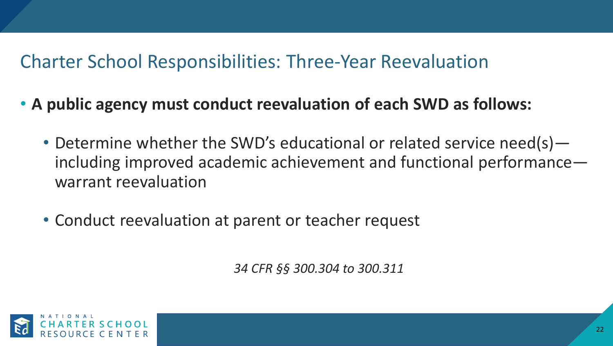## Charter School Responsibilities: Three-Year Reevaluation

- **A public agency must conduct reevaluation of each SWD as follows:**
	- Determine whether the SWD's educational or related service need(s) including improved academic achievement and functional performance warrant reevaluation
	- Conduct reevaluation at parent or teacher request

*34 CFR §§ 300.304 to 300.311*

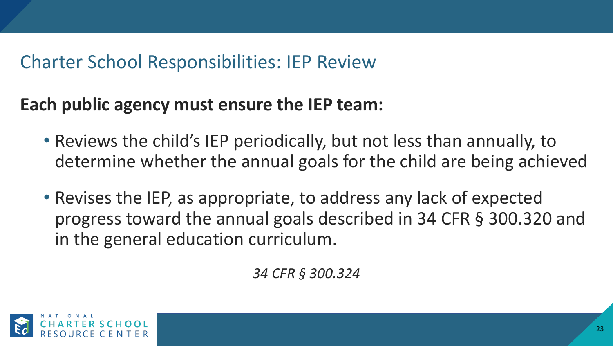## Charter School Responsibilities: IEP Review

### **Each public agency must ensure the IEP team:**

- Reviews the child's IEP periodically, but not less than annually, to determine whether the annual goals for the child are being achieved
- Revises the IEP, as appropriate, to address any lack of expected progress toward the annual goals described in 34 CFR § 300.320 and in the general education curriculum.

*34 CFR § 300.324*

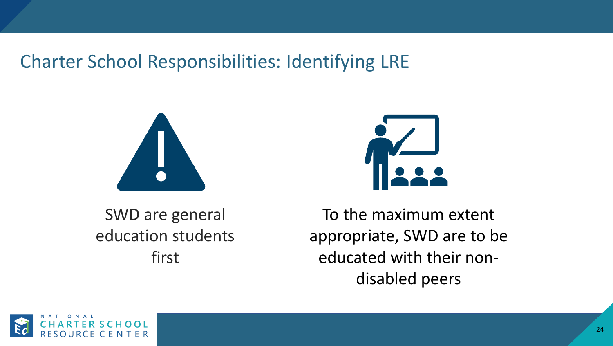## Charter School Responsibilities: Identifying LRE





SWD are general education students first

To the maximum extent appropriate, SWD are to be educated with their nondisabled peers

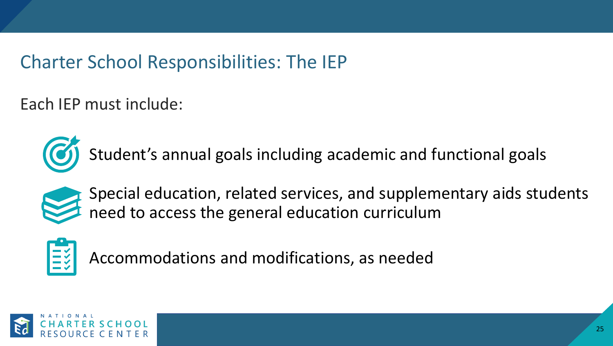## Charter School Responsibilities: The IEP

Each IEP must include:



Student's annual goals including academic and functional goals



Special education, related services, and supplementary aids students need to access the general education curriculum



Accommodations and modifications, as needed

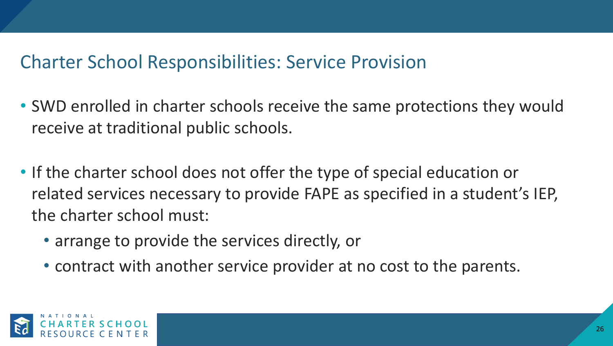### Charter School Responsibilities: Service Provision

- SWD enrolled in charter schools receive the same protections they would receive at traditional public schools.
- If the charter school does not offer the type of special education or related services necessary to provide FAPE as specified in a student's IEP, the charter school must:
	- arrange to provide the services directly, or
	- contract with another service provider at no cost to the parents.

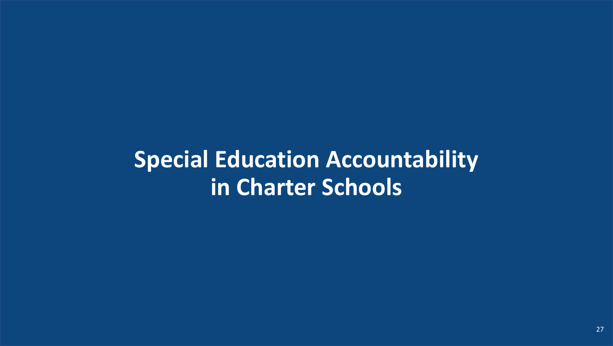## **Special Education Accountability in Charter Schools**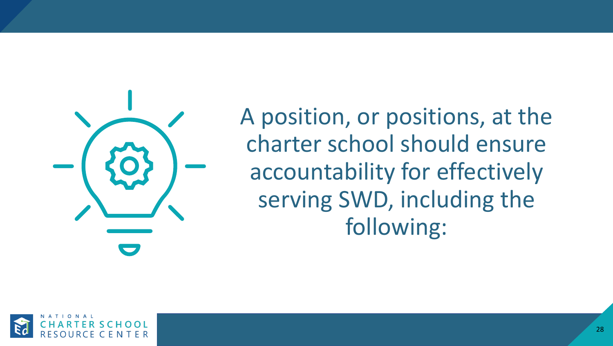

A position, or positions, at the charter school should ensure accountability for effectively serving SWD, including the following:

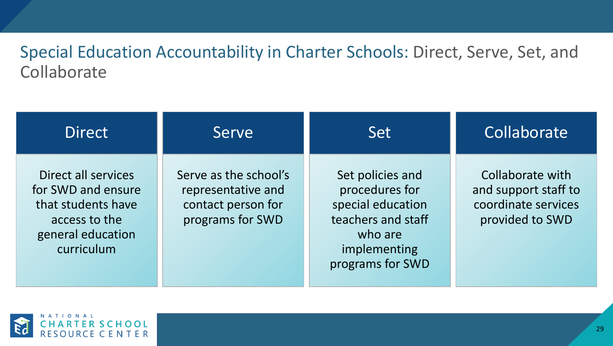#### Special Education Accountability in Charter Schools: Direct, Serve, Set, and **Collaborate**

| <b>Direct</b>                                                                                                       | Serve                                                                                 | <b>Set</b>                                                                                                                   | Collaborate                                                                        |
|---------------------------------------------------------------------------------------------------------------------|---------------------------------------------------------------------------------------|------------------------------------------------------------------------------------------------------------------------------|------------------------------------------------------------------------------------|
| Direct all services<br>for SWD and ensure<br>that students have<br>access to the<br>general education<br>curriculum | Serve as the school's<br>representative and<br>contact person for<br>programs for SWD | Set policies and<br>procedures for<br>special education<br>teachers and staff<br>who are<br>implementing<br>programs for SWD | Collaborate with<br>and support staff to<br>coordinate services<br>provided to SWD |

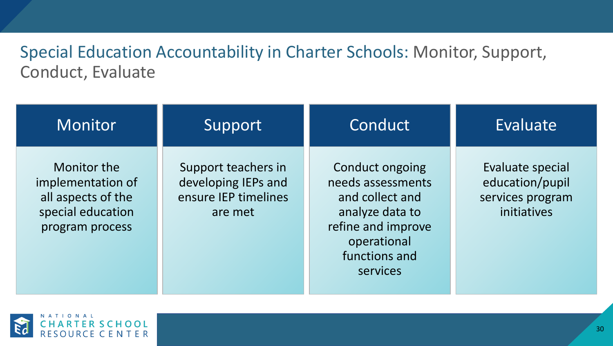#### Special Education Accountability in Charter Schools: Monitor, Support, Conduct, Evaluate

| Monitor                                                                                        | Support                                                                       | Conduct                                                                                                                                             | Evaluate                                                               |
|------------------------------------------------------------------------------------------------|-------------------------------------------------------------------------------|-----------------------------------------------------------------------------------------------------------------------------------------------------|------------------------------------------------------------------------|
| Monitor the<br>implementation of<br>all aspects of the<br>special education<br>program process | Support teachers in<br>developing IEPs and<br>ensure IEP timelines<br>are met | <b>Conduct ongoing</b><br>needs assessments<br>and collect and<br>analyze data to<br>refine and improve<br>operational<br>functions and<br>services | Evaluate special<br>education/pupil<br>services program<br>initiatives |

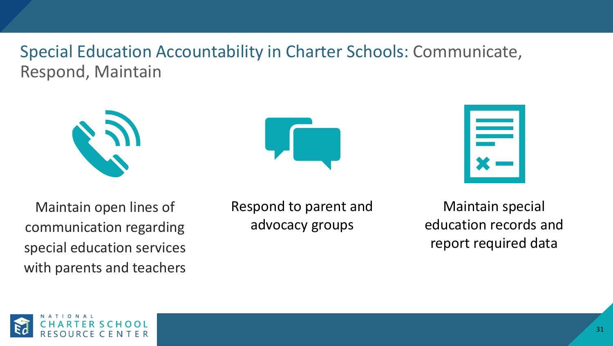Special Education Accountability in Charter Schools: Communicate, Respond, Maintain





| $\sum_{i=1}^n \frac{1}{i}$ |  |
|----------------------------|--|

Maintain open lines of communication regarding special education services with parents and teachers Respond to parent and advocacy groups

Maintain special education records and report required data

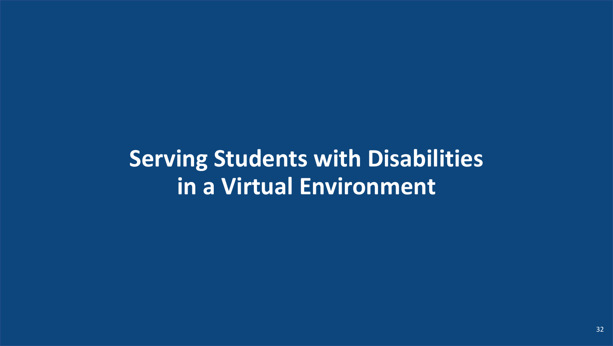## **Serving Students with Disabilities in a Virtual Environment**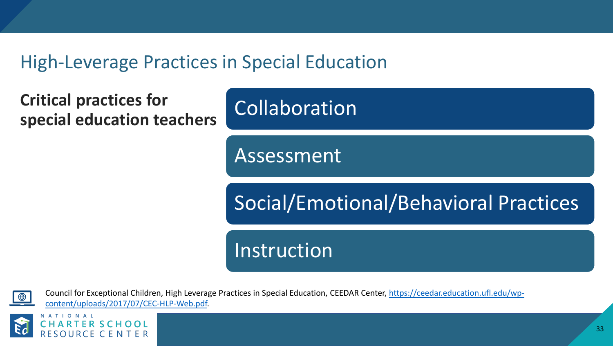## High-Leverage Practices in Special Education

**Critical practices for special education teachers** Collaboration

Assessment

Social/Emotional/Behavioral Practices

Instruction

[Council for Exceptional Children, High Leverage Practices in Special Education,](https://ceedar.education.ufl.edu/wp-content/uploads/2017/07/CEC-HLP-Web.pdf) CEEDAR Center, https://ceedar.education.ufl.edu/wpcontent/uploads/2017/07/CEC-HLP-Web.pdf.

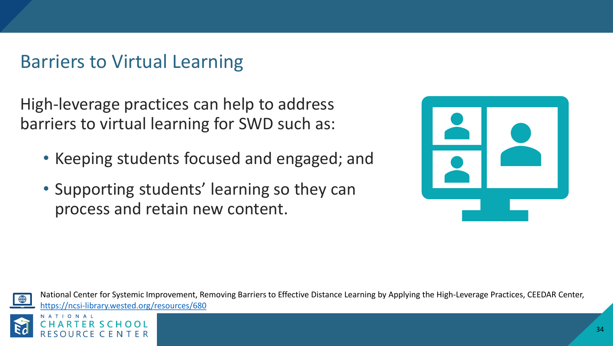## Barriers to Virtual Learning

High-leverage practices can help to address barriers to virtual learning for SWD such as:

- Keeping students focused and engaged; and
- Supporting students' learning so they can process and retain new content.



National Center for Systemic Improvement, Removing Barriers to Effective Distance Learning by Applying the High-Leverage Practices, CEEDAR Center, <https://ncsi-library.wested.org/resources/680>

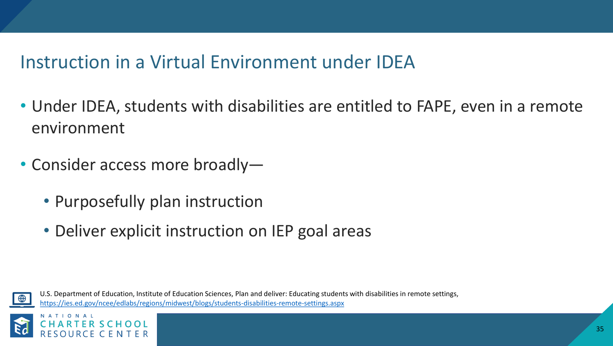## Instruction in a Virtual Environment under IDEA

- Under IDEA, students with disabilities are entitled to FAPE, even in a remote environment
- Consider access more broadly—
	- Purposefully plan instruction
	- Deliver explicit instruction on IEP goal areas



U.S. Department of Education, Institute of Education Sciences, Plan and deliver: Educating students with disabilities in remote settings, <https://ies.ed.gov/ncee/edlabs/regions/midwest/blogs/students-disabilities-remote-settings.aspx>

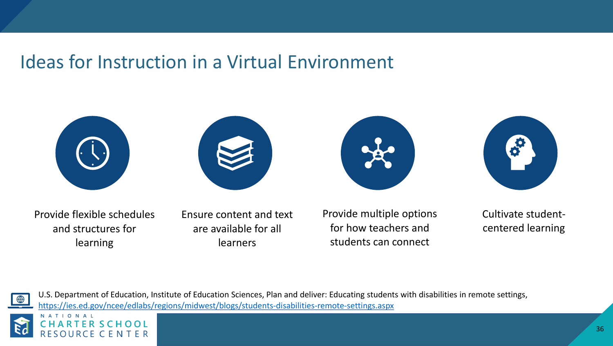## Ideas for Instruction in a Virtual Environment









Provide flexible schedules and structures for learning

Ensure content and text are available for all learners

Provide multiple options for how teachers and students can connect

Cultivate studentcentered learning



U.S. Department of Education, Institute of Education Sciences, Plan and deliver: Educating students with disabilities in remote settings, <https://ies.ed.gov/ncee/edlabs/regions/midwest/blogs/students-disabilities-remote-settings.aspx>

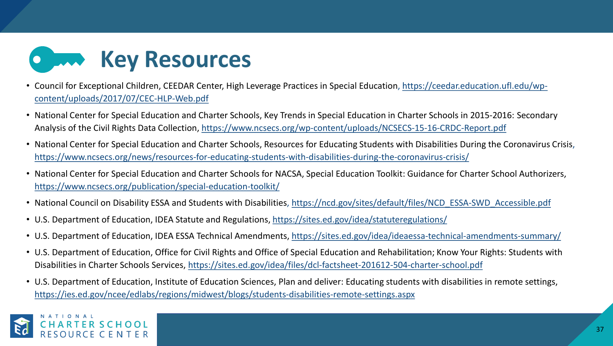

- [Council for Exceptional Children, CEEDAR Center, High Leverage Practices in Special Education,](https://ceedar.education.ufl.edu/wp-content/uploads/2017/07/CEC-HLP-Web.pdf) https://ceedar.education.ufl.edu/wpcontent/uploads/2017/07/CEC-HLP-Web.pdf
- National Center for Special Education and Charter Schools, Key Trends in Special Education in Charter Schools in 2015-2016: Secondary Analysis of the Civil Rights Data Collection, <https://www.ncsecs.org/wp-content/uploads/NCSECS-15-16-CRDC-Report.pdf>
- National Center for Special Education and Charter Schools, Resources for Educating Students with Disabilities During the Coronavirus Crisis, <https://www.ncsecs.org/news/resources-for-educating-students-with-disabilities-during-the-coronavirus-crisis/>
- National Center for Special Education and Charter Schools for NACSA, Special Education Toolkit: Guidance for Charter School Authorizers, <https://www.ncsecs.org/publication/special-education-toolkit/>
- National Council on Disability ESSA and Students with Disabilities, [https://ncd.gov/sites/default/files/NCD\\_ESSA-SWD\\_Accessible.pdf](https://ncd.gov/sites/default/files/NCD_ESSA-SWD_Accessible.pdf)
- U.S. Department of Education, IDEA Statute and Regulations, https://sites.ed.gov/idea/statuteregulations/
- U.S. Department of Education, IDEA ESSA Technical Amendments, <https://sites.ed.gov/idea/ideaessa-technical-amendments-summary/>
- U.S. Department of Education, Office for Civil Rights and Office of Special Education and Rehabilitation; Know Your Rights: Students with Disabilities in Charter Schools Services, <https://sites.ed.gov/idea/files/dcl-factsheet-201612-504-charter-school.pdf>
- U.S. Department of Education, Institute of Education Sciences, Plan and deliver: Educating students with disabilities in remote settings, <https://ies.ed.gov/ncee/edlabs/regions/midwest/blogs/students-disabilities-remote-settings.aspx>

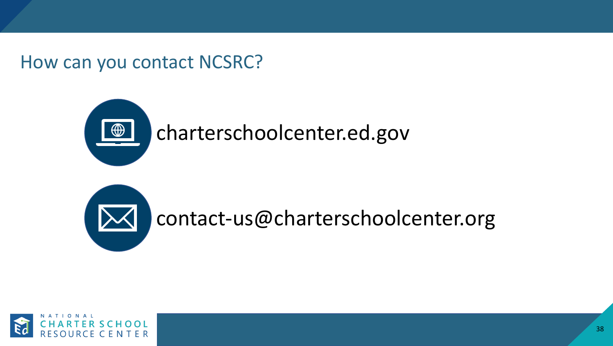How can you contact NCSRC?





contact-us@charterschoolcenter.org